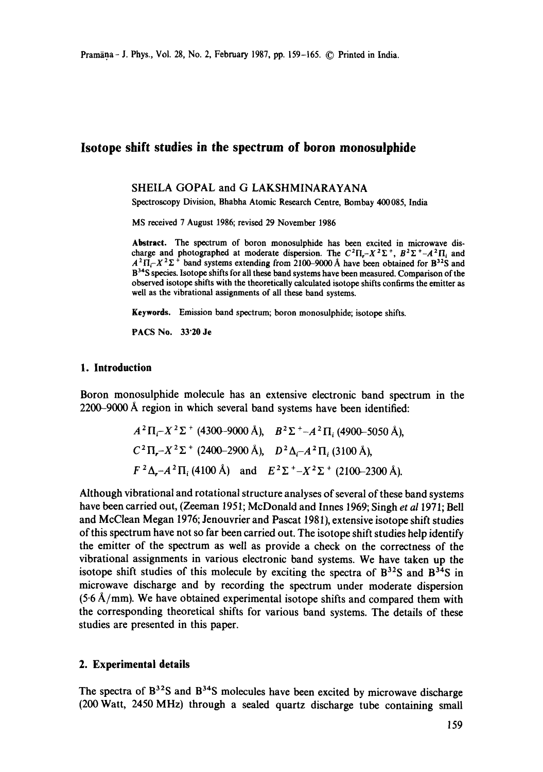# **Isotope shift studies in the spectrum of boron monosulphide**

#### SHEILA GOPAL and G LAKSHMINARAYANA

Spectroscopy Division, Bhabha Atomic Research Centre, Bombay 400085, India

MS received 7 August 1986; revised 29 November 1986

**Abstract.** The spectrum of boron monosulphide has been excited in microwave discharge and photographed at moderate dispersion. The  $C^2\Pi_r-X^2\Sigma^+$ ,  $B^2\Sigma^+$ - $A^2\Pi_i$  and  $A<sup>2</sup> \Pi<sub>l</sub> - X<sup>2</sup> \Sigma<sup>+</sup>$  band systems extending from 2100-9000 Å have been obtained for B<sup>32</sup>S and B<sup>34</sup>S species. Isotope shifts for all these band systems have been measured. Comparison of the observed isotope shifts with the theoretically calculated isotope shifts confirms the emitter as well as the vibrational assignments of all these band systems.

**Keywords.** Emission band spectrum; boron monosulphide; isotope shifts.

PACS No. 33"20 Je

#### **1. Introduction**

Boron monosulphide molecule has an extensive electronic band spectrum in the 2200-9000 A region in which several band systems have been identified:

$$
A^2\Pi_i-X^2\Sigma^+
$$
 (4300-9000 Å),  $B^2\Sigma^+-A^2\Pi_i$  (4900-5050 Å),  
\n $C^2\Pi_r-X^2\Sigma^+$  (2400-2900 Å),  $D^2\Delta_i-A^2\Pi_i$  (3100 Å),  
\n $F^2\Delta_r-A^2\Pi_i$  (4100 Å) and  $E^2\Sigma^+-X^2\Sigma^+$  (2100-2300 Å).

Although vibrational and rotational structure analyses of several of these band systems have been carried out, (Zeeman 1951; McDonald and Innes 1969; Singh *et a11971;* Bell and McClean Megan 1976; Jenouvrier and Pascat 1981), extensive isotope shift studies of this spectrum have not so far been carried out. The isotope shift studies help identify the emitter of the spectrum as well as provide a check on the correctness of the vibrational assignments in various electronic band systems. We have taken up the isotope shift studies of this molecule by exciting the spectra of  $B^{32}S$  and  $B^{34}S$  in microwave discharge and by recording the spectrum under moderate dispersion  $(5.6 \text{ Å/mm})$ . We have obtained experimental isotope shifts and compared them with the corresponding theoretical shifts for various band systems. The details of these studies are presented in this paper.

### **2. Experimental details**

The spectra of  $B^{32}S$  and  $B^{34}S$  molecules have been excited by microwave discharge (200 Watt, 2450 MHz) through a sealed quartz discharge tube containing small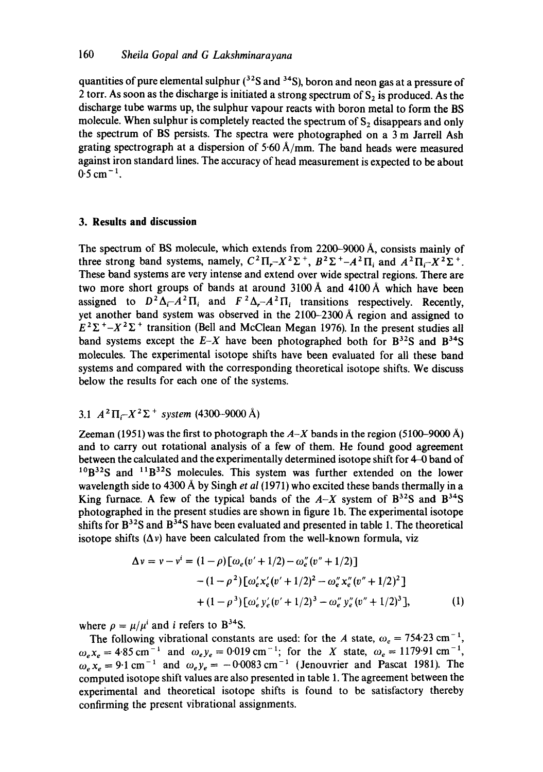quantities of pure elemental sulphur  $(3<sup>2</sup>S$  and  $(3<sup>3</sup>S)$ , boron and neon gas at a pressure of 2 torr. As soon as the discharge is initiated a strong spectrum of  $S_2$  is produced. As the discharge tube warms up, the sulphur vapour reacts with boron metal to form the BS molecule. When sulphur is completely reacted the spectrum of  $S_2$  disappears and only the spectrum of BS persists. The spectra were photographed on a 3 m Jarrell Ash grating spectrograph at a dispersion of  $5.60 \text{ Å/mm}$ . The band heads were measured against iron standard lines. The accuracy of head measurement is expected to be about  $0.5$  cm<sup>-1</sup>.

### **3. Results and discussion**

The spectrum of BS molecule, which extends from  $2200-9000 \text{ Å}$ , consists mainly of three strong band systems, namely,  $C^2 \Pi_r - X^2 \Sigma^+$ ,  $B^2 \Sigma^+ - A^2 \Pi_i$  and  $A^2 \Pi_i - X^2 \Sigma^+$ . These band systems are very intense and extend over wide spectral regions. There are two more short groups of bands at around 3100 A and 4100 A which have been assigned to  $D^2 \Delta_i - A^2 \Pi_i$  and  $F^2 \Delta_i - A^2 \Pi_i$  transitions respectively. Recently, yet another band system was observed in the 2100-2300 A region and assigned to  $E^2\Sigma^+ - X^2\Sigma^+$  transition (Bell and McClean Megan 1976). In the present studies all band systems except the  $E-X$  have been photographed both for  $B^{32}S$  and  $B^{34}S$ molecules. The experimental isotope shifts have been evaluated for all these band systems and compared with the corresponding theoretical isotope shifts. We discuss below the results for each one of the systems.

## 3.1  $A^2\Pi - X^2\Sigma$  + system (4300-9000 Å)

Zeeman (1951) was the first to photograph the  $A-X$  bands in the region (5100-9000  $\AA$ ) and to carry out rotational analysis of a few of them. He found good agreement between the calculated and the experimentally determined isotope shift for 4-0 band of  $1^{10}B^{32}S$  and  $1^{1}B^{32}S$  molecules. This system was further extended on the lower wavelength side to 4300 Å by Singh *et al* (1971) who excited these bands thermally in a King furnace. A few of the typical bands of the  $A-X$  system of  $B^{32}S$  and  $B^{34}S$ photographed in the present studies are shown in figure lb. The experimental isotope shifts for  $B^{32}S$  and  $B^{34}S$  have been evaluated and presented in table 1. The theoretical isotope shifts  $(\Delta v)$  have been calculated from the well-known formula, viz

$$
\Delta v = v - v^{i} = (1 - \rho) [\omega_e (v' + 1/2) - \omega_e'' (v'' + 1/2)]
$$
  
- 
$$
(1 - \rho^2) [\omega_e' x_e' (v' + 1/2)^2 - \omega_e'' x_e'' (v'' + 1/2)^2]
$$
  
+ 
$$
(1 - \rho^3) [\omega_e' y_e' (v' + 1/2)^3 - \omega_e'' y_e'' (v'' + 1/2)^3],
$$
 (1)

where  $\rho = \mu/\mu^i$  and *i* refers to B<sup>34</sup>S.

The following vibrational constants are used: for the A state,  $\omega_e = 754.23 \text{ cm}^{-1}$ ,  $\omega_e x_e = 4.85 \text{ cm}^{-1}$  and  $\omega_e y_e = 0.019 \text{ cm}^{-1}$ ; for the X state,  $\omega_e = 1179.91 \text{ cm}^{-1}$ ,  $\omega_e x_e = 9.1 \text{ cm}^{-1}$  and  $\omega_e y_e = -0.00083 \text{ cm}^{-1}$  (Jenouvrier and Pascat 1981). The computed isotope shift values are also presented in table 1. The agreement between the experimental and theoretical isotope shifts is found to be satisfactory thereby confirming the present vibrational assignments.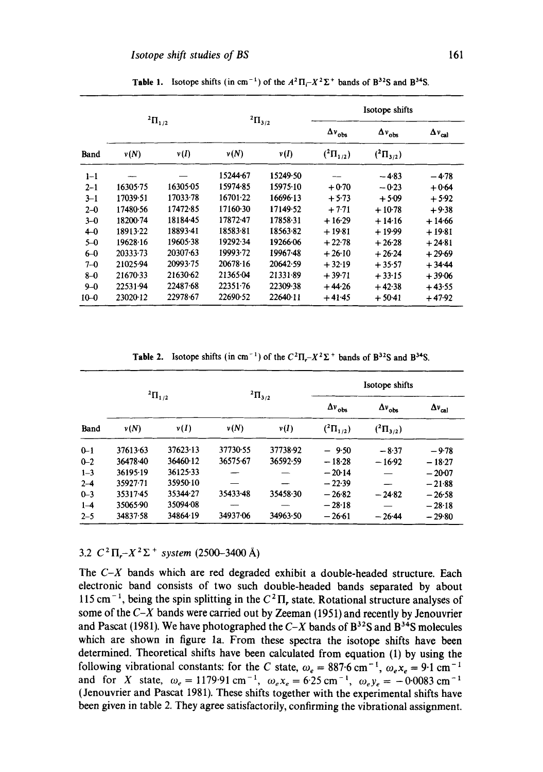|          | ${}^{2}\Pi_{1/2}$ |          | $^{2}\Pi_{3/2}$ |          | Isotope shifts       |                      |                         |
|----------|-------------------|----------|-----------------|----------|----------------------|----------------------|-------------------------|
|          |                   |          |                 |          | $\Delta v_{\rm obs}$ | $\Delta v_{\rm obs}$ | $\Delta v_{\text{cal}}$ |
| Band     | v(N)              | v(I)     | v(N)            | v(I)     | $({}^{2}\Pi_{1/2})$  | $({}^{2}\Pi_{3/2})$  |                         |
| $1 - 1$  |                   |          | 15244-67        | 15249.50 |                      | $-4.83$              | $-4.78$                 |
| $2 - 1$  | 16305.75          | 16305.05 | 15974.85        | 15975.10 | $+0.70$              | $-0.23$              | $+0.64$                 |
| $3 - 1$  | 17039-51          | 17033.78 | 16701.22        | 16696.13 | $+5.73$              | $+5.09$              | $+5.92$                 |
| $2 - 0$  | 17480.56          | 17472-85 | 17160.30        | 17149-52 | $+7.71$              | $+10.78$             | $+9.38$                 |
| $3 - 0$  | 18200.74          | 18184-45 | 17872-47        | 17858-31 | $+16.29$             | $+14.16$             | $+14.66$                |
| $4-0$    | 18913-22          | 18893.41 | 18583-81        | 18563-82 | $+19.81$             | $+19.99$             | $+19.81$                |
| $5 - 0$  | 19628.16          | 19605-38 | 19292-34        | 19266.06 | $+22.78$             | $+26.28$             | $+24.81$                |
| $6-0$    | 20333-73          | 20307-63 | 19993-72        | 19967-48 | $+26.10$             | $+26.24$             | $+29.69$                |
| $7 - 0$  | 21025-94          | 20993.75 | 20678.16        | 20642-59 | $+32.19$             | $+35.57$             | $+34.44$                |
| $8 - 0$  | 21670.33          | 21630.62 | 21365-04        | 21331-89 | $+39.71$             | $+33.15$             | $+39.06$                |
| $9 - 0$  | 22531.94          | 22487.68 | 22351.76        | 22309.38 | $+44.26$             | $+42.38$             | $+43.55$                |
| $10 - 0$ | 23020-12          | 22978.67 | 22690.52        | 22640.11 | $+41.45$             | $+50.41$             | $+47.92$                |

**Table 1.** Isotope shifts (in cm<sup>-1</sup>) of the  $A^2\Pi - X^2\Sigma^+$  bands of B<sup>32</sup>S and B<sup>34</sup>S.

**Table 2.** Isotope shifts (in cm<sup>-1</sup>) of the  $C^2\Pi - X^2\Sigma$  + bands of  $B^{32}S$  and  $B^{34}S$ .

| Band    | $^{2}\Pi_{1/2}$ |          | $^{2}\Pi_{3/2}$ |          | Isotope shifts            |                      |                      |
|---------|-----------------|----------|-----------------|----------|---------------------------|----------------------|----------------------|
|         |                 |          |                 |          | $\Delta v$ <sub>obs</sub> | $\Delta v_{\rm obs}$ | $\Delta v_{\rm cal}$ |
|         | $\nu(N)$        | v(I)     | $\nu(N)$        | v(I)     | $({}^{2}\Pi_{1/2})$       | $({}^{2}\Pi_{3/2})$  |                      |
| $0 - 1$ | 37613-63        | 37623.13 | 37730-55        | 37738-92 | $-9.50$                   | $-8.37$              | $-9.78$              |
| $0 - 2$ | 36478.40        | 36460-12 | 36575-67        | 36592.59 | $-18.28$                  | $-16.92$             | $-18.27$             |
| $1 - 3$ | 36195-19        | 36125.33 |                 |          | $-20.14$                  |                      | $-20-07$             |
| $2 - 4$ | 35927.71        | 35950-10 |                 |          | $-22.39$                  |                      | $-21.88$             |
| $0 - 3$ | 35317-45        | 35344.27 | 35433.48        | 35458.30 | $-26.82$                  | $-24.82$             | $-26.58$             |
| $1 - 4$ | 35065.90        | 35094-08 |                 |          | $-28.18$                  |                      | $-28.18$             |
| $2 - 5$ | 34837.58        | 34864-19 | 34937.06        | 34963.50 | $-26.61$                  | $-26.44$             | $-29.80$             |

3.2  $C^2 \Pi - X^2 \Sigma^+$  system (2500-3400 Å)

The *C-X* bands which are red degraded exhibit a double-headed structure. Each electronic band consists of two such double-headed bands separated by about 115 cm<sup>-1</sup>, being the spin splitting in the  $C^2\Pi$ , state. Rotational structure analyses of some of the  $C-X$  bands were carried out by Zeeman (1951) and recently by Jenouvrier and Pascat (1981). We have photographed the  $C-X$  bands of  $B^{32}S$  and  $B^{34}S$  molecules which are shown in figure la. From these spectra the isotope shifts have been determined. Theoretical shifts have been calculated from equation (1) by using the following vibrational constants: for the C state,  $\omega_e = 887.6 \text{ cm}^{-1}$ ,  $\omega_e x_e = 9.1 \text{ cm}^{-1}$ and for X state,  $\omega_e = 1179.91 \text{ cm}^{-1}$ ,  $\omega_e x_e = 6.25 \text{ cm}^{-1}$ ,  $\omega_e y_e = -0.0083 \text{ cm}^{-1}$ (Jenouvrier and Pascat 1981). These shifts together with the experimental shifts have been given in table 2. They agree satisfactorily, confirming the vibrational assignment.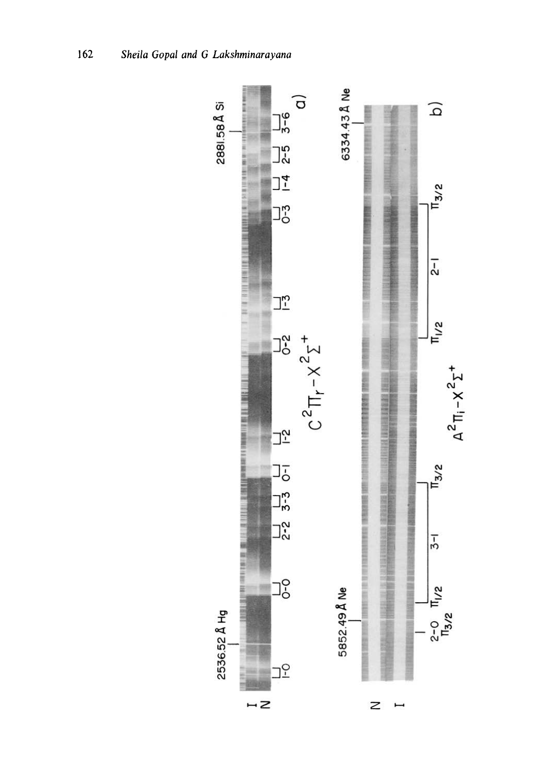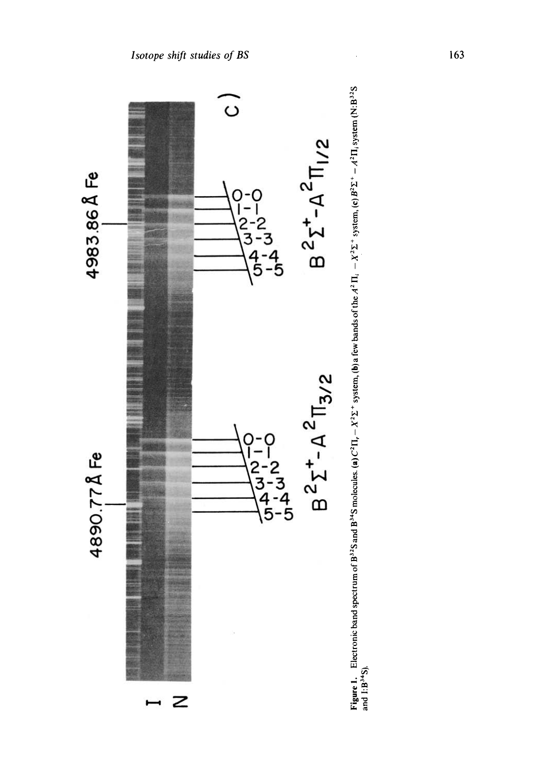

Figure 1. Electronic band spectrum of B<sup>32</sup>S and B<sup>34</sup>S molecules. (a) C<sup>2</sup> II<sub>1</sub> – X<sup>2</sup> E<sup>+</sup> system, (b) a few bands of the  $A^2 \Pi_i - X^2 \Sigma^+$  system, (c) B<sup>2</sup> E<sup>+</sup> –  $A^2 \Pi_i$  system (N:B<sup>32</sup>S<br>and 1:B<sup>34</sup>S). **Figure 1.** Electronic band spectrum of B<sup>33</sup>S and B<sup>34</sup>S molecules. (a)  $C^2 \Pi_1 - X^2 \Sigma^+$  system, (b) a few bands of the  $A^2 \Pi_1 - X^2 \Sigma^+$  system, (c)  $B^2 \Sigma^+ - A^2 \Pi_1$  system (N:B<sup>32</sup>5 **and I:B34S).**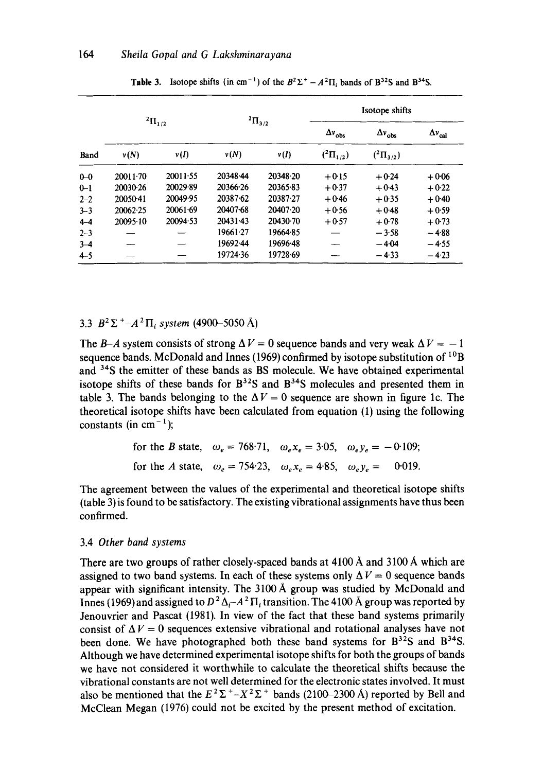| Band    | $^{2}\Pi_{1/2}$ |          | $^{2}\Pi_{3/2}$ |          | Isotope shifts       |                      |                         |
|---------|-----------------|----------|-----------------|----------|----------------------|----------------------|-------------------------|
|         |                 |          |                 |          | $\Delta v_{\rm obs}$ | $\Delta v_{\rm obs}$ | $\Delta v_{\text{cal}}$ |
|         | v(N)            | v(I)     | v(N)            | v(I)     | $({}^{2}\Pi_{1/2})$  | $({}^{2}\Pi_{3/2})$  |                         |
| $0 - 0$ | $20011 - 70$    | 20011-55 | 20348-44        | 20348-20 | $+0.15$              | $+0.24$              | $+0.06$                 |
| $0 - 1$ | 20030.26        | 20029-89 | 20366-26        | 20365-83 | $+0.37$              | $+0.43$              | $+0.22$                 |
| $2 - 2$ | 20050-41        | 20049-95 | 20387.62        | 20387.27 | $+0.46$              | $+0.35$              | $+0.40$                 |
| $3 - 3$ | 20062.25        | 20061.69 | 20407-68        | 20407.20 | $+0.56$              | $+0.48$              | $+0.59$                 |
| $4 - 4$ | 20095.10        | 20094.53 | $20431 - 43$    | 20430-70 | $+0.57$              | $+0.78$              | $+0.73$                 |
| $2 - 3$ |                 |          | 19661.27        | 19664.85 |                      | $-3.58$              | $-4.88$                 |
| $3-4$   |                 |          | 19692-44        | 19696.48 |                      | $-4.04$              | $-4.55$                 |
| $4 - 5$ |                 |          | 19724.36        | 19728-69 |                      | $-4.33$              | $-4.23$                 |

**Table 3.** Isotope shifts (in cm<sup>-1</sup>) of the  $B^2\Sigma^+ - A^2\Pi$ , bands of  $B^{32}S$  and  $B^{34}S$ .

# 3.3  $B^2\Sigma^+ - A^2\Pi_i$  system (4900–5050 Å)

The *B-A* system consists of strong  $\Delta V = 0$  sequence bands and very weak  $\Delta V = -1$ sequence bands. McDonald and Innes (1969) confirmed by isotope substitution of  $^{10}$ B and <sup>34</sup>S the emitter of these bands as BS molecule. We have obtained experimental isotope shifts of these bands for  $B^{32}S$  and  $B^{34}S$  molecules and presented them in table 3. The bands belonging to the  $\Delta V = 0$  sequence are shown in figure 1c. The theoretical isotope shifts have been calculated from equation (1) using the following constants (in  $cm^{-1}$ );

| for the <i>B</i> state, $\omega_e = 768.71$ , $\omega_e x_e = 3.05$ , $\omega_e y_e = -0.109$ ; |  |  |
|-------------------------------------------------------------------------------------------------|--|--|
| for the A state, $\omega_e = 754.23$ , $\omega_e x_e = 4.85$ , $\omega_e y_e = 0.019$ .         |  |  |

The agreement between the values of the experimental and theoretical isotope shifts (table 3) is found to be satisfactory. The existing vibrational assignments have thus been confirmed.

#### 3.4 *Other band systems*

There are two groups of rather closely-spaced bands at  $4100 \text{ Å}$  and  $3100 \text{ Å}$  which are assigned to two band systems. In each of these systems only  $\Delta V = 0$  sequence bands appear with significant intensity. The 3100 A group was studied by McDonald and Innes (1969) and assigned to  $D^2 \Delta_i A^2 \Pi_i$  transition. The 4100 Å group was reported by Jenouvrier and Pascat (1981). In view of the fact that these band systems primarily consist of  $\Delta V = 0$  sequences extensive vibrational and rotational analyses have not been done. We have photographed both these band systems for  $B^{32}S$  and  $B^{34}S$ . Although we have determined experimental isotope shifts for both the groups of bands we have not considered it worthwhile to calculate the theoretical shifts because the vibrational constants are not well determined for the electronic states involved. It must also be mentioned that the  $E^2\Sigma^+ - X^2\Sigma^+$  bands (2100-2300 Å) reported by Bell and McClean Megan (1976) could not be excited by the present method of excitation.